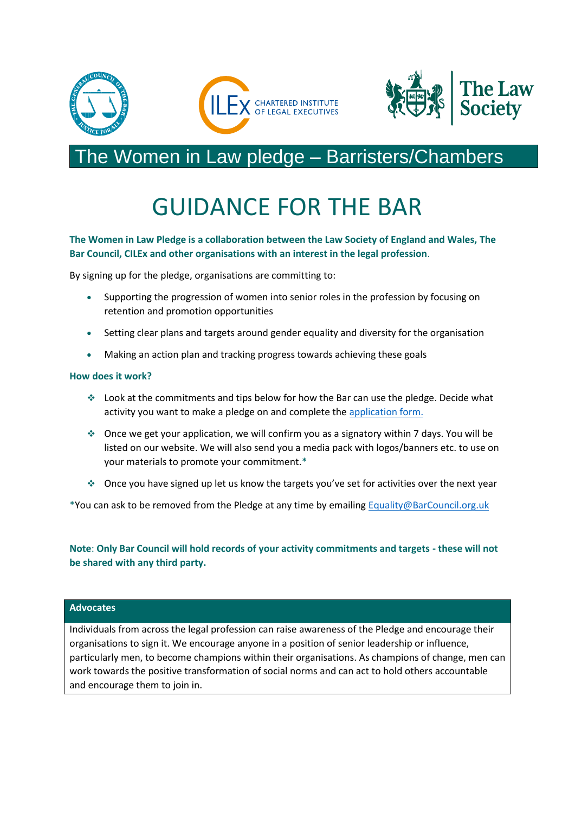

### The Women in Law pledge – Barristers/Chambers

## GUIDANCE FOR THE BAR

#### **The Women in Law Pledge is a collaboration between the Law Society of England and Wales, The Bar Council, CILEx and other organisations with an interest in the legal profession**.

By signing up for the pledge, organisations are committing to:

- Supporting the progression of women into senior roles in the profession by focusing on retention and promotion opportunities
- Setting clear plans and targets around gender equality and diversity for the organisation
- Making an action plan and tracking progress towards achieving these goals

#### **How does it work?**

- ❖ Look at the commitments and tips below for how the Bar can use the pledge. Decide what activity you want to make a pledge on and complete the [application form.](https://www.barcouncil.org.uk/media/751314/women-in-law-pledge_online_form_for_barristers__chambers_june_2019__003_.docx)
- ❖ Once we get your application, we will confirm you as a signatory within 7 days. You will be listed on our website. We will also send you a media pack with logos/banners etc. to use on your materials to promote your commitment.\*
- ❖ Once you have signed up let us know the targets you've set for activities over the next year

\*You can ask to be removed from the Pledge at any time by emailing [Equality@BarCouncil.org.uk](mailto:equality@barcouncil.org.uk)

**Note**: **Only Bar Council will hold records of your activity commitments and targets - these will not be shared with any third party.**

#### **Advocates**

Individuals from across the legal profession can raise awareness of the Pledge and encourage their organisations to sign it. We encourage anyone in a position of senior leadership or influence, particularly men, to become champions within their organisations. As champions of change, men can work towards the positive transformation of social norms and can act to hold others accountable and encourage them to join in.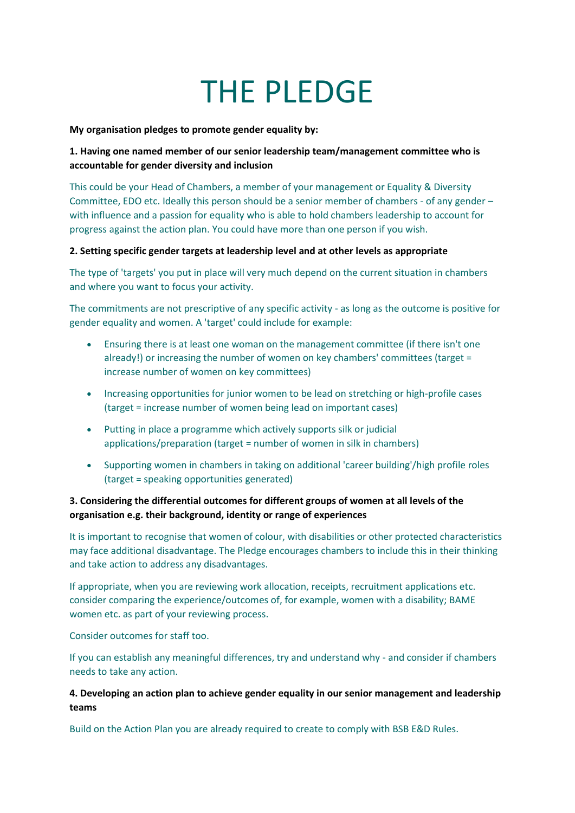# THE PLEDGE

**My organisation pledges to promote gender equality by:**

#### **1. Having one named member of our senior leadership team/management committee who is accountable for gender diversity and inclusion**

This could be your Head of Chambers, a member of your management or Equality & Diversity Committee, EDO etc. Ideally this person should be a senior member of chambers - of any gender – with influence and a passion for equality who is able to hold chambers leadership to account for progress against the action plan. You could have more than one person if you wish.

#### **2. Setting specific gender targets at leadership level and at other levels as appropriate**

The type of 'targets' you put in place will very much depend on the current situation in chambers and where you want to focus your activity.

The commitments are not prescriptive of any specific activity - as long as the outcome is positive for gender equality and women. A 'target' could include for example:

- Ensuring there is at least one woman on the management committee (if there isn't one already!) or increasing the number of women on key chambers' committees (target = increase number of women on key committees)
- Increasing opportunities for junior women to be lead on stretching or high-profile cases (target = increase number of women being lead on important cases)
- Putting in place a programme which actively supports silk or judicial applications/preparation (target = number of women in silk in chambers)
- Supporting women in chambers in taking on additional 'career building'/high profile roles (target = speaking opportunities generated)

#### **3. Considering the differential outcomes for different groups of women at all levels of the organisation e.g. their background, identity or range of experiences**

It is important to recognise that women of colour, with disabilities or other protected characteristics may face additional disadvantage. The Pledge encourages chambers to include this in their thinking and take action to address any disadvantages.

If appropriate, when you are reviewing work allocation, receipts, recruitment applications etc. consider comparing the experience/outcomes of, for example, women with a disability; BAME women etc. as part of your reviewing process.

Consider outcomes for staff too.

If you can establish any meaningful differences, try and understand why - and consider if chambers needs to take any action.

#### **4. Developing an action plan to achieve gender equality in our senior management and leadership teams**

Build on the Action Plan you are already required to create to comply with BSB E&D Rules.